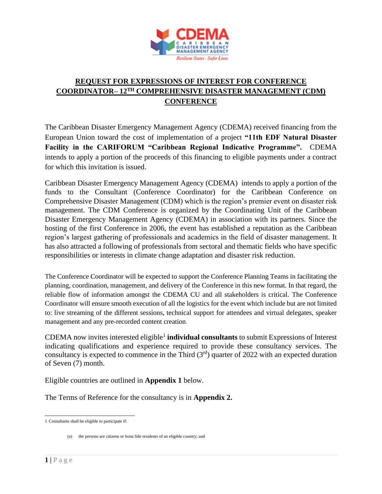

# **REQUEST FOR EXPRESSIONS OF INTEREST FOR CONFERENCE COORDINATOR– 12TH COMPREHENSIVE DISASTER MANAGEMENT (CDM) CONFERENCE**

The Caribbean Disaster Emergency Management Agency (CDEMA) received financing from the European Union toward the cost of implementation of a project **"11th EDF Natural Disaster Facility in the CARIFORUM "Caribbean Regional Indicative Programme".** CDEMA intends to apply a portion of the proceeds of this financing to eligible payments under a contract for which this invitation is issued.

Caribbean Disaster Emergency Management Agency (CDEMA) intends to apply a portion of the funds to the Consultant (Conference Coordinator) for the Caribbean Conference on Comprehensive Disaster Management (CDM) which is the region's premier event on disaster risk management. The CDM Conference is organized by the Coordinating Unit of the Caribbean Disaster Emergency Management Agency (CDEMA) in association with its partners. Since the hosting of the first Conference in 2006, the event has established a reputation as the Caribbean region's largest gathering of professionals and academics in the field of disaster management. It has also attracted a following of professionals from sectoral and thematic fields who have specific responsibilities or interests in climate change adaptation and disaster risk reduction.

The Conference Coordinator will be expected to support the Conference Planning Teams in facilitating the planning, coordination, management, and delivery of the Conference in this new format. In that regard, the reliable flow of information amongst the CDEMA CU and all stakeholders is critical. The Conference Coordinator will ensure smooth execution of all the logistics for the event which include but are not limited to: live streaming of the different sessions, technical support for attendees and virtual delegates, speaker management and any pre-recorded content creation.

CDEMA now invites interested eligible<sup>1</sup> individual consultants to submit Expressions of Interest indicating qualifications and experience required to provide these consultancy services. The consultancy is expected to commence in the Third  $(3<sup>rd</sup>)$  quarter of 2022 with an expected duration of Seven (7) month.

Eligible countries are outlined in **Appendix 1** below.

The Terms of Reference for the consultancy is in **Appendix 2.** 

<sup>1</sup> Consultants shall be eligible to participate if:

<sup>(</sup>a) the persons are citizens or bona fide residents of an eligible country; and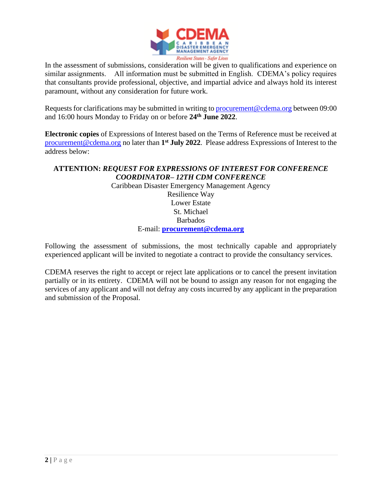

In the assessment of submissions, consideration will be given to qualifications and experience on similar assignments. All information must be submitted in English. CDEMA's policy requires that consultants provide professional, objective, and impartial advice and always hold its interest paramount, without any consideration for future work.

Requests for clarifications may be submitted in writing to [procurement@cdema.org](mailto:procurement@cdema.org) between 09:00 and 16:00 hours Monday to Friday on or before **24th June 2022**.

**Electronic copies** of Expressions of Interest based on the Terms of Reference must be received at [procurement@cdema.org](mailto:procurement@cdema.org) no later than **1 st July 2022**. Please address Expressions of Interest to the address below:

# **ATTENTION:** *REQUEST FOR EXPRESSIONS OF INTEREST FOR CONFERENCE COORDINATOR– 12TH CDM CONFERENCE*

Caribbean Disaster Emergency Management Agency Resilience Way Lower Estate St. Michael Barbados E-mail: **[procurement@cdema.org](mailto:procurement@cdema.org)**

Following the assessment of submissions, the most technically capable and appropriately experienced applicant will be invited to negotiate a contract to provide the consultancy services.

CDEMA reserves the right to accept or reject late applications or to cancel the present invitation partially or in its entirety. CDEMA will not be bound to assign any reason for not engaging the services of any applicant and will not defray any costs incurred by any applicant in the preparation and submission of the Proposal.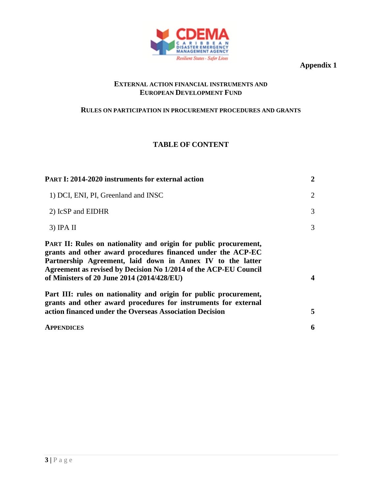

**Appendix 1**

#### **EXTERNAL ACTION FINANCIAL INSTRUMENTS AND EUROPEAN DEVELOPMENT FUND**

# **RULES ON PARTICIPATION IN PROCUREMENT PROCEDURES AND GRANTS**

# **TABLE OF CONTENT**

| <b>PART I: 2014-2020 instruments for external action</b>                                                                                                                                                                                                                                                        | $\overline{2}$ |
|-----------------------------------------------------------------------------------------------------------------------------------------------------------------------------------------------------------------------------------------------------------------------------------------------------------------|----------------|
| 1) DCI, ENI, PI, Greenland and INSC                                                                                                                                                                                                                                                                             | $\overline{2}$ |
| 2) IcSP and EIDHR                                                                                                                                                                                                                                                                                               | 3              |
| $3)$ IPA II                                                                                                                                                                                                                                                                                                     | 3              |
| PART II: Rules on nationality and origin for public procurement,<br>grants and other award procedures financed under the ACP-EC<br>Partnership Agreement, laid down in Annex IV to the latter<br>Agreement as revised by Decision No 1/2014 of the ACP-EU Council<br>of Ministers of 20 June 2014 (2014/428/EU) | 4              |
| Part III: rules on nationality and origin for public procurement,<br>grants and other award procedures for instruments for external<br>action financed under the Overseas Association Decision                                                                                                                  | 5              |
| <b>APPENDICES</b>                                                                                                                                                                                                                                                                                               | 6              |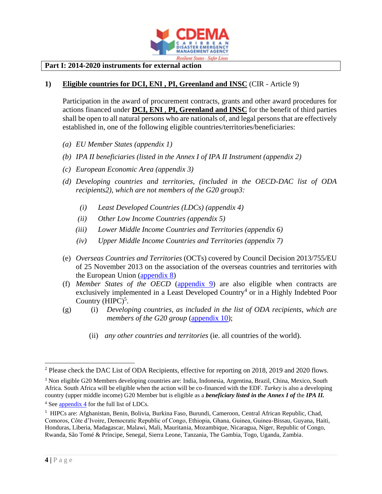

#### **Part I: 2014-2020 instruments for external action**

#### **1) Eligible countries for DCI, ENI , PI, Greenland and INSC** (CIR - Article 9)

Participation in the award of procurement contracts, grants and other award procedures for actions financed under **DCI, ENI** , **PI, Greenland and INSC** for the benefit of third parties shall be open to all natural persons who are nationals of, and legal persons that are effectively established in, one of the following eligible countries/territories/beneficiaries:

- *(a) EU Member States [\(appendix 1\)](#page-7-0)*
- *(b) IPA II beneficiaries (listed in the Annex I of IPA II Instrument [\(appendix 2\)](#page-7-1)*
- *(c) European Economic Area [\(appendix 3\)](#page-7-2)*
- *(d) Developing countries and territories, (included in the OECD-DAC list of ODA recipients2), which are not members of the G20 group3:* 
	- *(i) Least Developed Countries (LDCs) [\(appendix 4\)](#page-7-3)*
	- *(ii) Other Low Income Countries [\(appendix 5\)](#page-7-4)*
	- *(iii) Lower Middle Income Countries and Territories [\(appendix 6\)](#page-7-5)*
	- *(iv) Upper Middle Income Countries and Territories [\(appendix 7\)](#page-8-0)*
- (e) *Overseas Countries and Territories* (OCTs) covered by Council Decision 2013/755/EU of 25 November 2013 on the association of the overseas countries and territories with the European Union [\(appendix 8\)](#page-8-1)
- (f) *Member States of the OECD* [\(appendix 9\)](#page-8-2) are also eligible when contracts are exclusively implemented in a Least Developed Country<sup>4</sup> or in a Highly Indebted Poor Country  $(HIPC)^5$ .
- (g) (i) *Developing countries, as included in the list of ODA recipients, which are members of the G20 group* [\(appendix 10\)](#page-9-0);
	- (ii) *any other countries and territories* (ie. all countries of the world).

<sup>&</sup>lt;sup>2</sup> Please check the DAC List of ODA Recipients, effective for reporting on 2018, 2019 and 2020 flows.

<sup>3</sup> Non eligible G20 Members developing countries are: India, Indonesia, Argentina, Brazil, China, Mexico, South Africa. South Africa will be eligible when the action will be co-financed with the EDF. *Turkey* is also a developing country (upper middle income) G20 Member but is eligible as a *beneficiary listed in the Annex I of* the *IPA II.*

<sup>4</sup> Se[e appendix 4](#page-7-3) for the full list of LDCs.

<span id="page-3-0"></span><sup>&</sup>lt;sup>5</sup> HIPCs are: Afghanistan, Benin, Bolivia, Burkina Faso, Burundi, Cameroon, Central African Republic, Chad, Comoros, Côte d'Ivoire, Democratic Republic of Congo, Ethiopia, Ghana, Guinea, Guinea-Bissau, Guyana, Haiti, Honduras, Liberia, Madagascar, Malawi, Mali, Mauritania, Mozambique, Nicaragua, Niger, Republic of Congo, Rwanda, São Tomé & Príncipe, Senegal, Sierra Leone, Tanzania, The Gambia, Togo, Uganda, Zambia.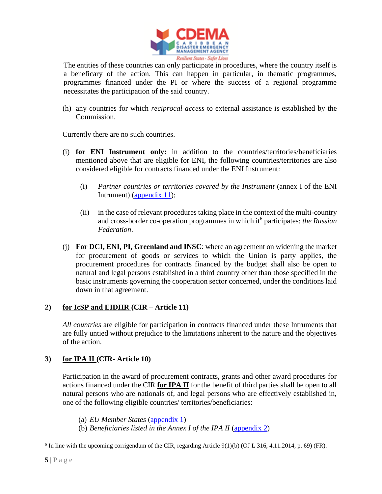

The entities of these countries can only participate in procedures, where the country itself is a beneficary of the action. This can happen in particular, in thematic programmes, programmes financed under the PI or where the success of a regional programme necessitates the participation of the said country.

(h) any countries for which *reciprocal access* to external assistance is established by the Commission.

Currently there are no such countries.

- (i) **for ENI Instrument only:** in addition to the countries/territories/beneficiaries mentioned above that are eligible for ENI, the following countries/territories are also considered eligible for contracts financed under the ENI Instrument:
	- (i) *Partner countries or territories covered by the Instrument* (annex I of the ENI Intrument) [\(appendix 11\)](#page-9-1);
	- (ii) in the case of relevant procedures taking place in the context of the multi-country and cross-border co-operation programmes in which it<sup>6</sup> participates: *the Russian Federation*.
- (j) **For DCI, ENI, PI, Greenland and INSC**: where an agreement on widening the market for procurement of goods or services to which the Union is party applies, the procurement procedures for contracts financed by the budget shall also be open to natural and legal persons established in a third country other than those specified in the basic instruments governing the cooperation sector concerned, under the conditions laid down in that agreement.

### **2) for IcSP and EIDHR (CIR – Article 11)**

*All countries* are eligible for participation in contracts financed under these Intruments that are fully untied without prejudice to the limitations inherent to the nature and the objectives of the action.

#### **3) for IPA II (CIR- Article 10)**

Participation in the award of procurement contracts, grants and other award procedures for actions financed under the CIR **for IPA II** for the benefit of third parties shall be open to all natural persons who are nationals of, and legal persons who are effectively established in, one of the following eligible countries/ territories/beneficiaries:

(a) *EU Member States* [\(appendix 1\)](#page-7-0)

(b) *Beneficiaries listed in the Annex I of the IPA II* [\(appendix 2\)](#page-7-1)

 $6$  In line with the upcoming corrigendum of the CIR, regarding Article 9(1)(b) (OJ L 316, 4.11.2014, p. 69) (FR).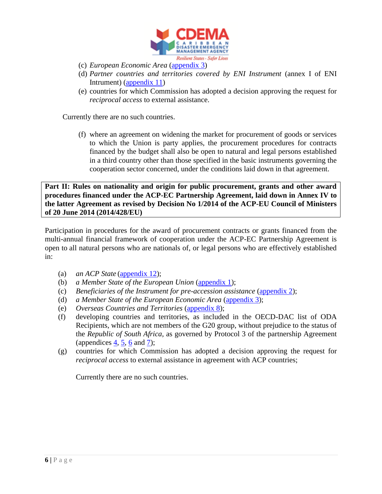

- (c) *European Economic Area* [\(appendix 3\)](#page-7-2)
- (d) *Partner countries and territories covered by ENI Instrument* (annex I of ENI Intrument) [\(appendix 11\)](#page-9-1)
- (e) countries for which Commission has adopted a decision approving the request for *reciprocal access* to external assistance.

Currently there are no such countries.

(f) where an agreement on widening the market for procurement of goods or services to which the Union is party applies, the procurement procedures for contracts financed by the budget shall also be open to natural and legal persons established in a third country other than those specified in the basic instruments governing the cooperation sector concerned, under the conditions laid down in that agreement.

**Part II: Rules on nationality and origin for public procurement, grants and other award procedures financed under the ACP-EC Partnership Agreement, laid down in Annex IV to the latter Agreement as revised by Decision No 1/2014 of the ACP-EU Council of Ministers of 20 June 2014 (2014/428/EU)**

Participation in procedures for the award of procurement contracts or grants financed from the multi-annual financial framework of cooperation under the ACP-EC Partnership Agreement is open to all natural persons who are nationals of, or legal persons who are effectively established in:

- (a) *an ACP State* [\(appendix 12\)](#page-9-2);
- (b) *a Member State of the European Union* [\(appendix 1\)](#page-7-0);
- (c) *Beneficiaries of the Instrument for pre-accession assistance* [\(appendix 2\)](#page-7-1);
- (d) *a Member State of the European Economic Area* [\(appendix 3\)](#page-7-2);
- (e) *Overseas Countries and Territories* [\(appendix 8\)](#page-8-1);
- (f) developing countries and territories, as included in the OECD-DAC list of ODA Recipients, which are not members of the G20 group, without prejudice to the status of the *Republic of South Africa*, as governed by Protocol 3 of the partnership Agreement (appendices  $\frac{4}{5}$ ,  $\frac{6}{5}$  and  $\frac{7}{5}$ ;
- (g) countries for which Commission has adopted a decision approving the request for *reciprocal access* to external assistance in agreement with ACP countries;

Currently there are no such countries.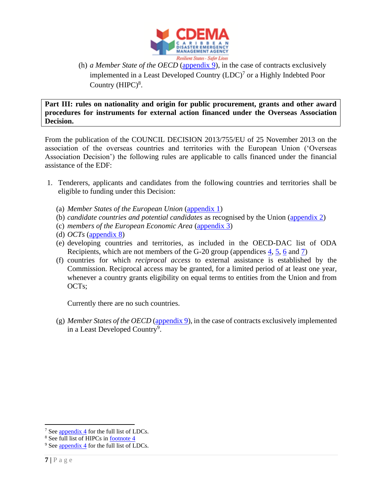

(h) *a Member State of the OECD* [\(appendix 9\)](#page-8-2), in the case of contracts exclusively implemented in a Least Developed Country  $(LDC)^7$  or a Highly Indebted Poor Country  $(HIPC)^8$ .

**Part III: rules on nationality and origin for public procurement, grants and other award procedures for instruments for external action financed under the Overseas Association Decision.**

From the publication of the COUNCIL DECISION 2013/755/EU of 25 November 2013 on the association of the overseas countries and territories with the European Union ('Overseas Association Decision') the following rules are applicable to calls financed under the financial assistance of the EDF:

- 1. Tenderers, applicants and candidates from the following countries and territories shall be eligible to funding under this Decision:
	- (a) *Member States of the European Union* [\(appendix 1\)](#page-7-0)
	- (b) *candidate countries and potential candidates* as recognised by the Union [\(appendix 2\)](#page-7-1)
	- (c) *members of the European Economic Area* [\(appendix 3\)](#page-7-2)
	- (d) *OCTs* [\(appendix 8\)](#page-8-1)
	- (e) developing countries and territories, as included in the OECD-DAC list of ODA Recipients, which are not members of the G-20 group (appendices [4,](#page-7-3) [5,](#page-7-4) [6](#page-7-5) and [7\)](#page-8-0)
	- (f) countries for which *reciprocal access* to external assistance is established by the Commission. Reciprocal access may be granted, for a limited period of at least one year, whenever a country grants eligibility on equal terms to entities from the Union and from OCTs;

Currently there are no such countries.

(g) *Member States of the OECD* [\(appendix 9\)](#page-8-2), in the case of contracts exclusively implemented in a Least Developed Country<sup>9</sup>.

<sup>7</sup> Se[e appendix 4](#page-7-3) for the full list of LDCs.

<sup>&</sup>lt;sup>8</sup> See full list of HIPCs in <u>footnote 4</u>

<sup>&</sup>lt;sup>9</sup> Se[e appendix 4](#page-7-3) for the full list of LDCs.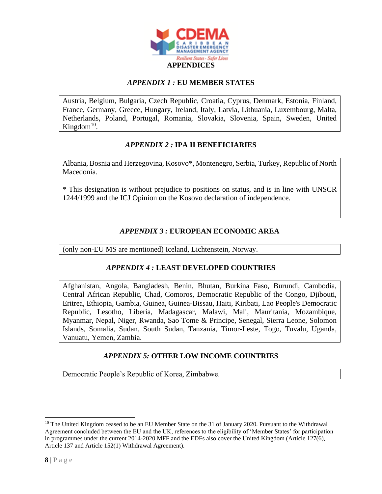

### *APPENDIX 1 :* **EU MEMBER STATES**

<span id="page-7-0"></span>Austria, Belgium, Bulgaria, Czech Republic, Croatia, Cyprus, Denmark, Estonia, Finland, France, Germany, Greece, Hungary, Ireland, Italy, Latvia, Lithuania, Luxembourg, Malta, Netherlands, Poland, Portugal, Romania, Slovakia, Slovenia, Spain, Sweden, United Kingdom $^{10}$ .

### *APPENDIX 2 :* **IPA II BENEFICIARIES**

<span id="page-7-1"></span>Albania, Bosnia and Herzegovina, Kosovo\*, Montenegro, Serbia, Turkey, Republic of North Macedonia.

\* This designation is without prejudice to positions on status, and is in line with UNSCR 1244/1999 and the ICJ Opinion on the Kosovo declaration of independence.

# *APPENDIX 3 :* **EUROPEAN ECONOMIC AREA**

<span id="page-7-3"></span><span id="page-7-2"></span>(only non-EU MS are mentioned) Iceland, Lichtenstein, Norway.

### *APPENDIX 4 :* **LEAST DEVELOPED COUNTRIES**

Afghanistan, Angola, Bangladesh, Benin, Bhutan, Burkina Faso, Burundi, Cambodia, Central African Republic, Chad, Comoros, Democratic Republic of the Congo, Djibouti, Eritrea, Ethiopia, Gambia, Guinea, Guinea-Bissau, Haiti, Kiribati, Lao People's Democratic Republic, Lesotho, Liberia, Madagascar, Malawi, Mali, Mauritania, Mozambique, Myanmar, Nepal, Niger, Rwanda, Sao Tome & Principe, Senegal, Sierra Leone, Solomon Islands, Somalia, Sudan, South Sudan, Tanzania, Timor-Leste, Togo, Tuvalu, Uganda, Vanuatu, Yemen, Zambia.

### *APPENDIX 5:* **OTHER LOW INCOME COUNTRIES**

<span id="page-7-5"></span><span id="page-7-4"></span>Democratic People's Republic of Korea, Zimbabwe.

 $10$  The United Kingdom ceased to be an EU Member State on the 31 of January 2020. Pursuant to the Withdrawal Agreement concluded between the EU and the UK, references to the eligibility of 'Member States' for participation in programmes under the current 2014-2020 MFF and the EDFs also cover the United Kingdom (Article 127(6), Article 137 and Article 152(1) Withdrawal Agreement).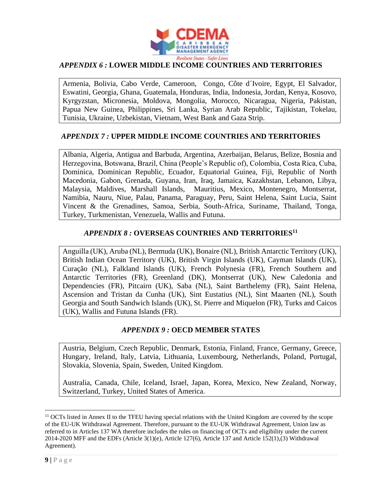

# *APPENDIX 6 :* **LOWER MIDDLE INCOME COUNTRIES AND TERRITORIES**

Armenia, Bolivia, Cabo Verde, Cameroon, Congo, Côte d´Ivoire, Egypt, El Salvador, Eswatini, Georgia, Ghana, Guatemala, Honduras, India, Indonesia, Jordan, Kenya, Kosovo, Kyrgyzstan, Micronesia, Moldova, Mongolia, Morocco, Nicaragua, Nigeria, Pakistan, Papua New Guinea, Philippines, Sri Lanka, Syrian Arab Republic, Tajikistan, Tokelau, Tunisia, Ukraine, Uzbekistan, Vietnam, West Bank and Gaza Strip.

#### <span id="page-8-0"></span>*APPENDIX 7 :* **UPPER MIDDLE INCOME COUNTRIES AND TERRITORIES**

Albania, Algeria, Antigua and Barbuda, Argentina, Azerbaijan, Belarus, Belize, Bosnia and Herzegovina, Botswana, Brazil, China (People's Republic of), Colombia, Costa Rica, Cuba, Dominica, Dominican Republic, Ecuador, Equatorial Guinea, Fiji, Republic of North Macedonia, Gabon, Grenada, Guyana, Iran, Iraq, Jamaica, Kazakhstan, Lebanon, Libya, Malaysia, Maldives, Marshall Islands, Mauritius, Mexico, Montenegro, Montserrat, Namibia, Nauru, Niue, Palau, Panama, Paraguay, Peru, Saint Helena, Saint Lucia, Saint Vincent & the Grenadines, Samoa, Serbia, South-Africa, Suriname, Thailand, Tonga, Turkey, Turkmenistan, Venezuela, Wallis and Futuna.

### *APPENDIX 8 :* **OVERSEAS COUNTRIES AND TERRITORIES<sup>11</sup>**

<span id="page-8-1"></span>Anguilla (UK), Aruba (NL), Bermuda (UK), Bonaire (NL), British Antarctic Territory (UK), British Indian Ocean Territory (UK), British Virgin Islands (UK), Cayman Islands (UK), Curação (NL), Falkland Islands (UK), French Polynesia (FR), French Southern and Antarctic Territories (FR), Greenland (DK), Montserrat (UK), New Caledonia and Dependencies (FR), Pitcairn (UK), Saba (NL), Saint Barthelemy (FR), Saint Helena, Ascension and Tristan da Cunha (UK), Sint Eustatius (NL), Sint Maarten (NL), South Georgia and South Sandwich Islands (UK), St. Pierre and Miquelon (FR), Turks and Caicos (UK), Wallis and Futuna Islands (FR).

### *APPENDIX 9 :* **OECD MEMBER STATES**

<span id="page-8-2"></span>Austria, Belgium, Czech Republic, Denmark, Estonia, Finland, France, Germany, Greece, Hungary, Ireland, Italy, Latvia, Lithuania, Luxembourg, Netherlands, Poland, Portugal, Slovakia, Slovenia, Spain, Sweden, United Kingdom.

Australia, Canada, Chile, Iceland, Israel, Japan, Korea, Mexico, New Zealand, Norway, Switzerland, Turkey, United States of America.

<sup>&</sup>lt;sup>11</sup> OCTs listed in Annex II to the TFEU having special relations with the United Kingdom are covered by the scope of the EU-UK Withdrawal Agreement. Therefore, pursuant to the EU-UK Withdrawal Agreement, Union law as referred to in Articles 137 WA therefore includes the rules on financing of OCTs and eligibility under the current 2014-2020 MFF and the EDFs (Article 3(1)(e), Article 127(6), Article 137 and Article 152(1),(3) Withdrawal Agreement).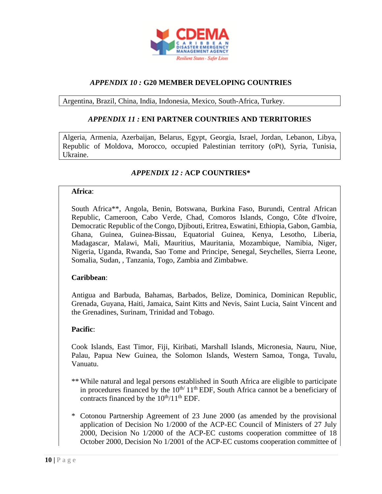

# *APPENDIX 10 :* **G20 MEMBER DEVELOPING COUNTRIES**

<span id="page-9-1"></span><span id="page-9-0"></span>Argentina, Brazil, China, India, Indonesia, Mexico, South-Africa, Turkey.

#### *APPENDIX 11 :* **ENI PARTNER COUNTRIES AND TERRITORIES**

Algeria, Armenia, Azerbaijan, Belarus, Egypt, Georgia, Israel, Jordan, Lebanon, Libya, Republic of Moldova, Morocco, occupied Palestinian territory (oPt), Syria, Tunisia, Ukraine.

### *APPENDIX 12 :* **ACP COUNTRIES\***

#### <span id="page-9-2"></span>**Africa**:

South Africa\*\*, Angola, Benin, Botswana, Burkina Faso, Burundi, Central African Republic, Cameroon, Cabo Verde, Chad, Comoros Islands, Congo, Côte d'Ivoire, Democratic Republic of the Congo, Djibouti, Eritrea, Eswatini, Ethiopia, Gabon, Gambia, Ghana, Guinea, Guinea-Bissau, Equatorial Guinea, Kenya, Lesotho, Liberia, Madagascar, Malawi, Mali, Mauritius, Mauritania, Mozambique, Namibia, Niger, Nigeria, Uganda, Rwanda, Sao Tome and Principe, Senegal, Seychelles, Sierra Leone, Somalia, Sudan, , Tanzania, Togo, Zambia and Zimbabwe.

#### **Caribbean**:

Antigua and Barbuda, Bahamas, Barbados, Belize, Dominica, Dominican Republic, Grenada, Guyana, Haiti, Jamaica, Saint Kitts and Nevis, Saint Lucia, Saint Vincent and the Grenadines, Surinam, Trinidad and Tobago.

#### **Pacific**:

Cook Islands, East Timor, Fiji, Kiribati, Marshall Islands, Micronesia, Nauru, Niue, Palau, Papua New Guinea, the Solomon Islands, Western Samoa, Tonga, Tuvalu, Vanuatu.

- \*\* While natural and legal persons established in South Africa are eligible to participate in procedures financed by the  $10^{th/11}$ <sup>th</sup> EDF, South Africa cannot be a beneficiary of contracts financed by the  $10^{th}/11^{th}$  EDF.
- \* Cotonou Partnership Agreement of 23 June 2000 (as amended by the provisional application of Decision No 1/2000 of the ACP-EC Council of Ministers of 27 July 2000, Decision No 1/2000 of the ACP-EC customs cooperation committee of 18 October 2000, Decision No 1/2001 of the ACP-EC customs cooperation committee of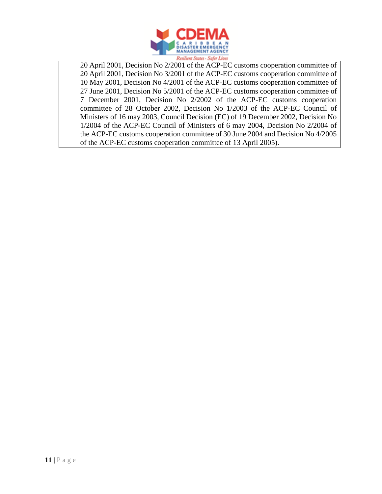

20 April 2001, Decision No 2/2001 of the ACP-EC customs cooperation committee of 20 April 2001, Decision No 3/2001 of the ACP-EC customs cooperation committee of 10 May 2001, Decision No 4/2001 of the ACP-EC customs cooperation committee of 27 June 2001, Decision No 5/2001 of the ACP-EC customs cooperation committee of 7 December 2001, Decision No 2/2002 of the ACP-EC customs cooperation committee of 28 October 2002, Decision No 1/2003 of the ACP-EC Council of Ministers of 16 may 2003, Council Decision (EC) of 19 December 2002, Decision No 1/2004 of the ACP-EC Council of Ministers of 6 may 2004, Decision No 2/2004 of the ACP-EC customs cooperation committee of 30 June 2004 and Decision No 4/2005 of the ACP-EC customs cooperation committee of 13 April 2005).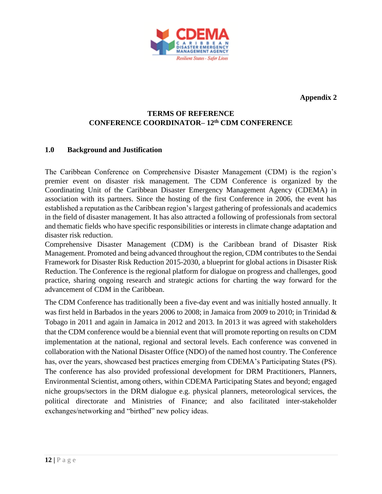

**Appendix 2**

# **TERMS OF REFERENCE CONFERENCE COORDINATOR– 12th CDM CONFERENCE**

# **1.0 Background and Justification**

The Caribbean Conference on Comprehensive Disaster Management (CDM) is the region's premier event on disaster risk management. The CDM Conference is organized by the Coordinating Unit of the Caribbean Disaster Emergency Management Agency (CDEMA) in association with its partners. Since the hosting of the first Conference in 2006, the event has established a reputation as the Caribbean region's largest gathering of professionals and academics in the field of disaster management. It has also attracted a following of professionals from sectoral and thematic fields who have specific responsibilities or interests in climate change adaptation and disaster risk reduction.

Comprehensive Disaster Management (CDM) is the Caribbean brand of Disaster Risk Management. Promoted and being advanced throughout the region, CDM contributes to the Sendai Framework for Disaster Risk Reduction 2015-2030, a blueprint for global actions in Disaster Risk Reduction. The Conference is the regional platform for dialogue on progress and challenges, good practice, sharing ongoing research and strategic actions for charting the way forward for the advancement of CDM in the Caribbean.

The CDM Conference has traditionally been a five-day event and was initially hosted annually. It was first held in Barbados in the years 2006 to 2008; in Jamaica from 2009 to 2010; in Trinidad & Tobago in 2011 and again in Jamaica in 2012 and 2013. In 2013 it was agreed with stakeholders that the CDM conference would be a biennial event that will promote reporting on results on CDM implementation at the national, regional and sectoral levels. Each conference was convened in collaboration with the National Disaster Office (NDO) of the named host country. The Conference has, over the years, showcased best practices emerging from CDEMA's Participating States (PS). The conference has also provided professional development for DRM Practitioners, Planners, Environmental Scientist, among others, within CDEMA Participating States and beyond; engaged niche groups/sectors in the DRM dialogue e.g. physical planners, meteorological services, the political directorate and Ministries of Finance; and also facilitated inter-stakeholder exchanges/networking and "birthed" new policy ideas.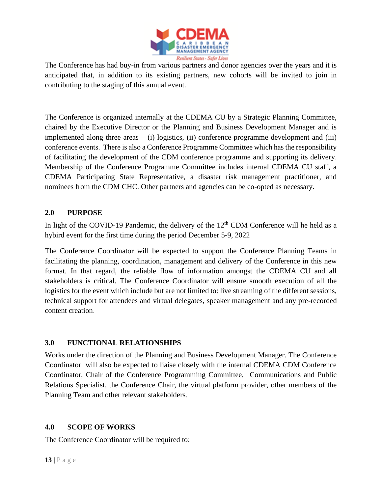

The Conference has had buy-in from various partners and donor agencies over the years and it is anticipated that, in addition to its existing partners, new cohorts will be invited to join in contributing to the staging of this annual event.

The Conference is organized internally at the CDEMA CU by a Strategic Planning Committee, chaired by the Executive Director or the Planning and Business Development Manager and is implemented along three areas  $-$  (i) logistics, (ii) conference programme development and (iii) conference events. There is also a Conference Programme Committee which has the responsibility of facilitating the development of the CDM conference programme and supporting its delivery. Membership of the Conference Programme Committee includes internal CDEMA CU staff, a CDEMA Participating State Representative, a disaster risk management practitioner, and nominees from the CDM CHC. Other partners and agencies can be co-opted as necessary.

# **2.0 PURPOSE**

In light of the COVID-19 Pandemic, the delivery of the  $12<sup>th</sup>$  CDM Conference will he held as a hybird event for the first time during the period December 5-9, 2022

The Conference Coordinator will be expected to support the Conference Planning Teams in facilitating the planning, coordination, management and delivery of the Conference in this new format. In that regard, the reliable flow of information amongst the CDEMA CU and all stakeholders is critical. The Conference Coordinator will ensure smooth execution of all the logistics for the event which include but are not limited to: live streaming of the different sessions, technical support for attendees and virtual delegates, speaker management and any pre-recorded content creation.

# **3.0 FUNCTIONAL RELATIONSHIPS**

Works under the direction of the Planning and Business Development Manager. The Conference Coordinator will also be expected to liaise closely with the internal CDEMA CDM Conference Coordinator, Chair of the Conference Programming Committee, Communications and Public Relations Specialist, the Conference Chair, the virtual platform provider, other members of the Planning Team and other relevant stakeholders.

### **4.0 SCOPE OF WORKS**

The Conference Coordinator will be required to: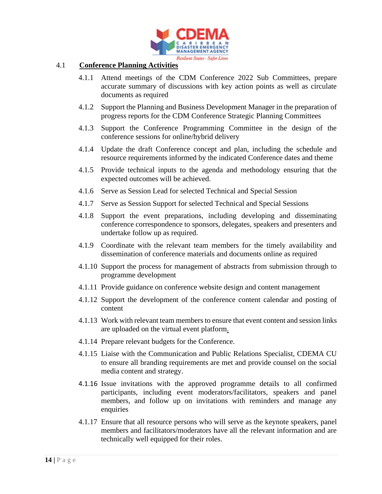

#### 4.1 **Conference Planning Activities**

- 4.1.1 Attend meetings of the CDM Conference 2022 Sub Committees, prepare accurate summary of discussions with key action points as well as circulate documents as required
- 4.1.2 Support the Planning and Business Development Manager in the preparation of progress reports for the CDM Conference Strategic Planning Committees
- 4.1.3 Support the Conference Programming Committee in the design of the conference sessions for online/hybrid delivery
- 4.1.4 Update the draft Conference concept and plan, including the schedule and resource requirements informed by the indicated Conference dates and theme
- 4.1.5 Provide technical inputs to the agenda and methodology ensuring that the expected outcomes will be achieved.
- 4.1.6 Serve as Session Lead for selected Technical and Special Session
- 4.1.7 Serve as Session Support for selected Technical and Special Sessions
- 4.1.8 Support the event preparations, including developing and disseminating conference correspondence to sponsors, delegates, speakers and presenters and undertake follow up as required.
- 4.1.9 Coordinate with the relevant team members for the timely availability and dissemination of conference materials and documents online as required
- 4.1.10 Support the process for management of abstracts from submission through to programme development
- 4.1.11 Provide guidance on conference website design and content management
- 4.1.12 Support the development of the conference content calendar and posting of content
- 4.1.13 Work with relevant team members to ensure that event content and session links are uploaded on the virtual event platform.
- 4.1.14 Prepare relevant budgets for the Conference.
- 4.1.15 Liaise with the Communication and Public Relations Specialist, CDEMA CU to ensure all branding requirements are met and provide counsel on the social media content and strategy.
- 4.1.16 Issue invitations with the approved programme details to all confirmed participants, including event moderators/facilitators, speakers and panel members, and follow up on invitations with reminders and manage any enquiries
- 4.1.17 Ensure that all resource persons who will serve as the keynote speakers, panel members and facilitators/moderators have all the relevant information and are technically well equipped for their roles.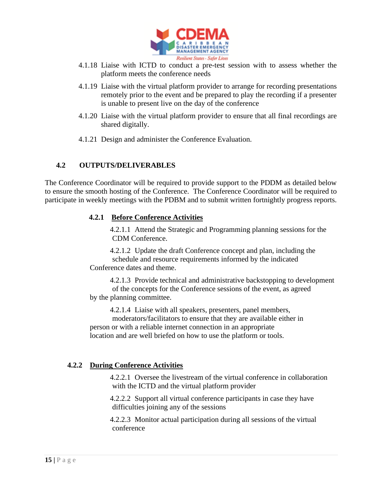

- 4.1.18 Liaise with ICTD to conduct a pre-test session with to assess whether the platform meets the conference needs
- 4.1.19 Liaise with the virtual platform provider to arrange for recording presentations remotely prior to the event and be prepared to play the recording if a presenter is unable to present live on the day of the conference
- 4.1.20 Liaise with the virtual platform provider to ensure that all final recordings are shared digitally.
- 4.1.21 Design and administer the Conference Evaluation.

### **4.2 OUTPUTS/DELIVERABLES**

The Conference Coordinator will be required to provide support to the PDDM as detailed below to ensure the smooth hosting of the Conference. The Conference Coordinator will be required to participate in weekly meetings with the PDBM and to submit written fortnightly progress reports.

### **4.2.1 Before Conference Activities**

4.2.1.1 Attend the Strategic and Programming planning sessions for the CDM Conference.

4.2.1.2 Update the draft Conference concept and plan, including the schedule and resource requirements informed by the indicated Conference dates and theme.

4.2.1.3 Provide technical and administrative backstopping to development of the concepts for the Conference sessions of the event, as agreed by the planning committee.

4.2.1.4 Liaise with all speakers, presenters, panel members,

moderators/facilitators to ensure that they are available either in person or with a reliable internet connection in an appropriate location and are well briefed on how to use the platform or tools.

### **4.2.2 During Conference Activities**

4.2.2.1 Oversee the livestream of the virtual conference in collaboration with the ICTD and the virtual platform provider

4.2.2.2 Support all virtual conference participants in case they have difficulties joining any of the sessions

4.2.2.3 Monitor actual participation during all sessions of the virtual conference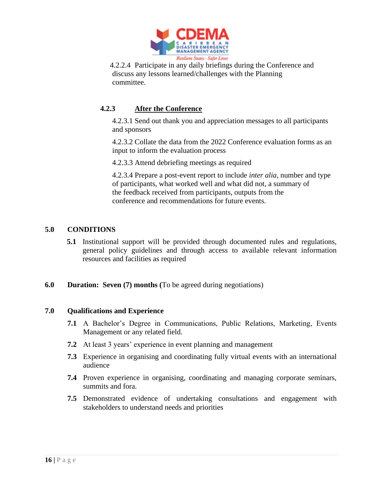

4.2.2.4 Participate in any daily briefings during the Conference and discuss any lessons learned/challenges with the Planning committee.

# **4.2.3 After the Conference**

4.2.3.1 Send out thank you and appreciation messages to all participants and sponsors

4.2.3.2 Collate the data from the 2022 Conference evaluation forms as an input to inform the evaluation process

4.2.3.3 Attend debriefing meetings as required

4.2.3.4 Prepare a post-event report to include *inter alia,* number and type of participants, what worked well and what did not, a summary of the feedback received from participants, outputs from the conference and recommendations for future events.

#### **5.0 CONDITIONS**

- **5.1** Institutional support will be provided through documented rules and regulations, general policy guidelines and through access to available relevant information resources and facilities as required
- **6.0 Duration: Seven (7) months (**To be agreed during negotiations)

#### **7.0 Qualifications and Experience**

- **7.1** A Bachelor's Degree in Communications, Public Relations, Marketing, Events Management or any related field.
- **7.2** At least 3 years' experience in event planning and management
- **7.3** Experience in organising and coordinating fully virtual events with an international audience
- **7.4** Proven experience in organising, coordinating and managing corporate seminars, summits and fora.
- **7.5** Demonstrated evidence of undertaking consultations and engagement with stakeholders to understand needs and priorities